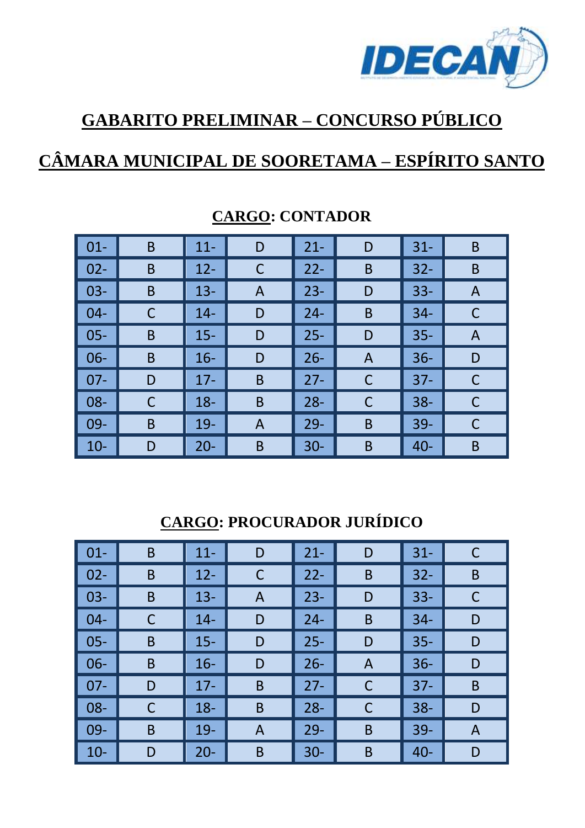

# **GABARITO PRELIMINAR – CONCURSO PÚBLICO**

## **CÂMARA MUNICIPAL DE SOORETAMA – ESPÍRITO SANTO**

| $\vert$ 01- | B | $11 -$ | D              | $21 -$ | D              | $31 -$ | B |
|-------------|---|--------|----------------|--------|----------------|--------|---|
| $02 -$      | B | $12 -$ | C              | $22 -$ | B              | $32 -$ | B |
| $03 -$      | B | $13 -$ | A              | $23 -$ | D              | $33 -$ | A |
| $04 -$      | C | $14-$  | D              | $24 -$ | B              | $34 -$ | C |
| $05 -$      | B | $15 -$ | D              | $25 -$ | D              | $35 -$ | A |
| $06 -$      | B | $16 -$ | D              | $26 -$ | $\overline{A}$ | $36 -$ | D |
| $07 -$      | D | $17 -$ | $\overline{B}$ | $27 -$ | C              | $37 -$ | C |
| $08 -$      | C | $18 -$ | B              | $28 -$ | C              | $38 -$ | C |
| $09-$       | B | $19-$  | A              | $29 -$ | B              | $39 -$ | С |
| $10 -$      | D | $20 -$ | $\mathsf B$    | $30 -$ | B              | $40 -$ | B |

#### **CARGO: CONTADOR**

**CARGO: PROCURADOR JURÍDICO** 

| $01 -$ | B | $11 -$ | D | $21 -$ | D            | $31 -$ | C |
|--------|---|--------|---|--------|--------------|--------|---|
| $02 -$ | B | $12 -$ | С | $22 -$ | B            | $32 -$ | B |
| $03 -$ | B | $13 -$ | A | $23 -$ | D            | $33 -$ |   |
| $04 -$ | C | $14 -$ | D | $24 -$ | B            | $34 -$ | D |
| $05 -$ | B | $15 -$ | D | $25 -$ | D            | $35 -$ | D |
| $06 -$ | B | $16 -$ | D | $26 -$ | A            | $36 -$ | D |
| $07 -$ | D | $17 -$ | B | $27 -$ | C            | $37 -$ | B |
| $08 -$ | C | $18 -$ | B | $28 -$ | $\mathsf{C}$ | $38 -$ | D |
| $09 -$ | B | $19-$  | A | $29 -$ | B            | $39 -$ | A |
| $10 -$ | D | $20 -$ | B | $30 -$ | B            | $40 -$ | D |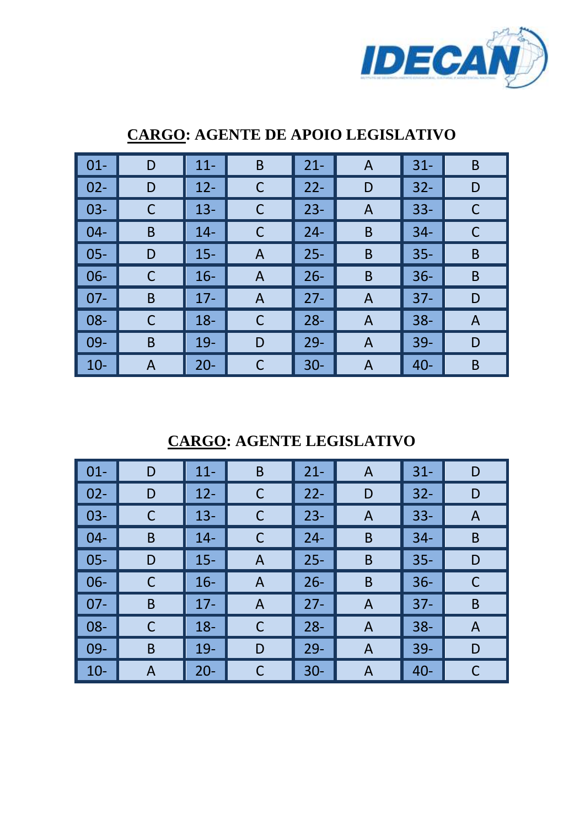

| $01 -$ | D | $11 -$ | $\mathsf B$ | $21 -$ | $\mathsf{A}$ | $31 -$ | B |
|--------|---|--------|-------------|--------|--------------|--------|---|
| $02 -$ | D | $12 -$ | C           | $22 -$ | D            | $32 -$ | D |
| $03 -$ | C | $13 -$ | C           | $23 -$ | A            | $33 -$ | C |
| $04 -$ | B | $14 -$ | C           | $24 -$ | B            | $34 -$ | С |
| $05 -$ | D | $15 -$ | A           | $25 -$ | B            | $35 -$ | B |
| $06 -$ | C | $16 -$ | A           | $26 -$ | B            | $36 -$ | B |
| $07 -$ | B | $17 -$ | A           | $27 -$ | A            | $37 -$ | D |
| $08 -$ | С | $18 -$ | C           | $28 -$ | A            | $38 -$ | A |
| $09 -$ | B | $19-$  | D           | $29 -$ | A            | $39 -$ | D |
| $10-$  | A | $20 -$ | С           | $30 -$ | A            | $40 -$ | B |

#### **CARGO: AGENTE DE APOIO LEGISLATIVO**

**CARGO: AGENTE LEGISLATIVO** 

| $\vert$ 01-                                                                                                                                                                                                                                                                                                                        | D | $11 -$ | B            | $21 -$ | A              | $31 -$ | D |
|------------------------------------------------------------------------------------------------------------------------------------------------------------------------------------------------------------------------------------------------------------------------------------------------------------------------------------|---|--------|--------------|--------|----------------|--------|---|
| $\begin{bmatrix} 0 & 2 \\ 0 & 0 \\ 0 & 0 \\ 0 & 0 \\ 0 & 0 \\ 0 & 0 \\ 0 & 0 \\ 0 & 0 & 0 \\ 0 & 0 & 0 \\ 0 & 0 & 0 \\ 0 & 0 & 0 \\ 0 & 0 & 0 & 0 \\ 0 & 0 & 0 & 0 \\ 0 & 0 & 0 & 0 \\ 0 & 0 & 0 & 0 & 0 \\ 0 & 0 & 0 & 0 & 0 \\ 0 & 0 & 0 & 0 & 0 \\ 0 & 0 & 0 & 0 & 0 & 0 \\ 0 & 0 & 0 & 0 & 0 & 0 \\ 0 & 0 & 0 & 0 & 0 & 0 \\ $ | D | $12 -$ | С            | $22 -$ | D              | $32 -$ | D |
| $\vert$ 03-                                                                                                                                                                                                                                                                                                                        | C | $13 -$ | C            | $23 -$ | A              | $33 -$ | A |
| $\vert$ 04-                                                                                                                                                                                                                                                                                                                        | B | $14 -$ | C            | $24 -$ | B              | $34 -$ | B |
| $\vert$ 05-                                                                                                                                                                                                                                                                                                                        | D | $15 -$ | A            | $25 -$ | B              | $35 -$ | D |
| $\vert$ 06-                                                                                                                                                                                                                                                                                                                        | C | $16 -$ | $\mathsf{A}$ | $26 -$ | B              | $36 -$ |   |
| $\vert$ 07-                                                                                                                                                                                                                                                                                                                        | B | $17 -$ | $\mathsf{A}$ | $27 -$ | A              | $37 -$ | B |
| $\vert$ 08-                                                                                                                                                                                                                                                                                                                        | C | $18 -$ | C            | $28 -$ | A              | $38 -$ | A |
| $\vert$ 09-                                                                                                                                                                                                                                                                                                                        | B | 19-    | D            | $29 -$ | $\overline{A}$ | $39 -$ | D |
| $\vert$ 10-                                                                                                                                                                                                                                                                                                                        | A | $20 -$ | С            | $30 -$ | A              | $40 -$ | C |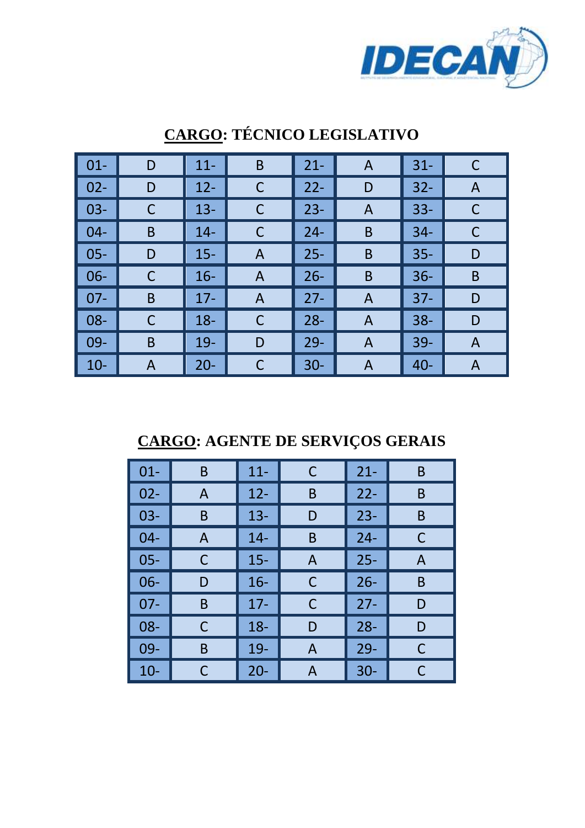

| $01 -$ | D | $11 -$ | B            | $21 -$ | A | $31 -$ | C |
|--------|---|--------|--------------|--------|---|--------|---|
| $02 -$ | D | $12 -$ | C            | $22 -$ | D | $32 -$ | A |
| $03 -$ | C | $13 -$ | C            | $23 -$ | A | $33 -$ | C |
| $04 -$ | B | $14 -$ | C            | $24 -$ | B | $34-$  | С |
| $05 -$ | D | $15 -$ | A            | $25 -$ | B | $35 -$ | D |
| $06 -$ | C | $16 -$ | $\mathsf{A}$ | $26 -$ | B | $36 -$ | B |
| $07 -$ | B | $17 -$ | A            | $27 -$ | A | $37 -$ | D |
| $08 -$ | C | $18 -$ | C            | $28 -$ | A | $38 -$ | D |
| $09 -$ | B | $19-$  | D            | $29 -$ | Α | $39 -$ | A |
| $10-$  | A | $20 -$ | C            | $30 -$ | Α | $40 -$ | A |

### **CARGO: TÉCNICO LEGISLATIVO**

**CARGO: AGENTE DE SERVIÇOS GERAIS** 

| $01 -$ | B | $11 -$ | C | $21 -$ | B |
|--------|---|--------|---|--------|---|
| $02 -$ | Α | $12 -$ | Β | $22 -$ | B |
| $03 -$ | B | $13 -$ | D | $23 -$ | B |
| $04 -$ | A | $14 -$ | B | $24 -$ | C |
| $05 -$ | C | $15 -$ | A | $25 -$ | A |
| $06 -$ | D | $16 -$ | С | $26 -$ | B |
| 07-    | B | $17 -$ | С | $27 -$ | D |
| 08-    | С | $18 -$ | D | $28 -$ | D |
| 09-    | B | 19-    | A | $29 -$ | C |
| $10 -$ | C | $20 -$ | А | $30 -$ | C |